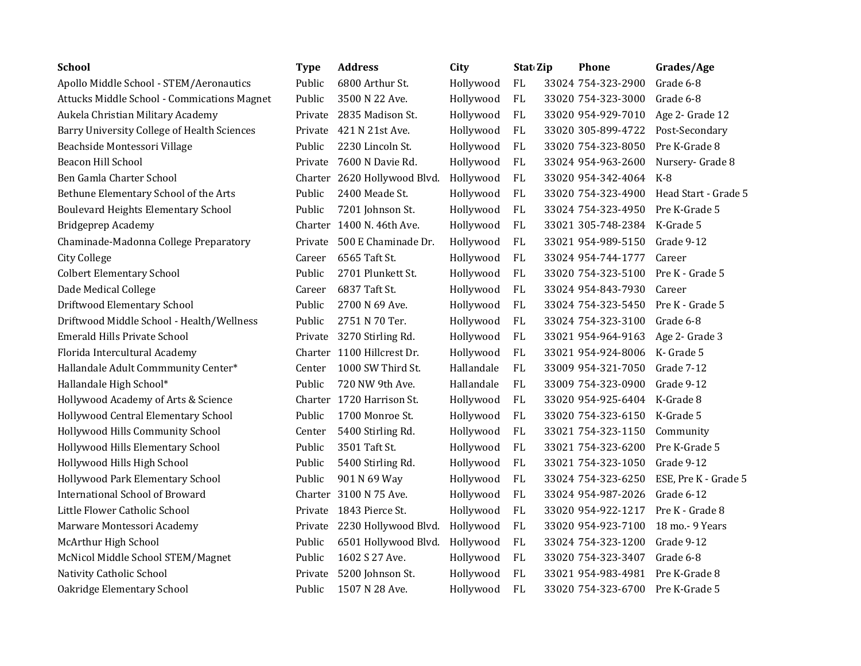| School                                             | <b>Type</b> | <b>Address</b>               | City       | Stat Zip  | <b>Phone</b>       | Grades/Age           |
|----------------------------------------------------|-------------|------------------------------|------------|-----------|--------------------|----------------------|
| Apollo Middle School - STEM/Aeronautics            | Public      | 6800 Arthur St.              | Hollywood  | FL        | 33024 754-323-2900 | Grade 6-8            |
| <b>Attucks Middle School - Commications Magnet</b> | Public      | 3500 N 22 Ave.               | Hollywood  | FL        | 33020 754-323-3000 | Grade 6-8            |
| Aukela Christian Military Academy                  | Private     | 2835 Madison St.             | Hollywood  | FL        | 33020 954-929-7010 | Age 2- Grade 12      |
| Barry University College of Health Sciences        |             | Private 421 N 21st Ave.      | Hollywood  | FL        | 33020 305-899-4722 | Post-Secondary       |
| Beachside Montessori Village                       | Public      | 2230 Lincoln St.             | Hollywood  | FL        | 33020 754-323-8050 | Pre K-Grade 8        |
| Beacon Hill School                                 | Private     | 7600 N Davie Rd.             | Hollywood  | FL        | 33024 954-963-2600 | Nursery- Grade 8     |
| Ben Gamla Charter School                           |             | Charter 2620 Hollywood Blvd. | Hollywood  | FL        | 33020 954-342-4064 | $K-8$                |
| Bethune Elementary School of the Arts              | Public      | 2400 Meade St.               | Hollywood  | FL        | 33020 754-323-4900 | Head Start - Grade 5 |
| <b>Boulevard Heights Elementary School</b>         | Public      | 7201 Johnson St.             | Hollywood  | FL        | 33024 754-323-4950 | Pre K-Grade 5        |
| <b>Bridgeprep Academy</b>                          |             | Charter 1400 N. 46th Ave.    | Hollywood  | FL        | 33021 305-748-2384 | K-Grade 5            |
| Chaminade-Madonna College Preparatory              | Private     | 500 E Chaminade Dr.          | Hollywood  | FL        | 33021 954-989-5150 | Grade 9-12           |
| <b>City College</b>                                | Career      | 6565 Taft St.                | Hollywood  | FL        | 33024 954-744-1777 | Career               |
| <b>Colbert Elementary School</b>                   | Public      | 2701 Plunkett St.            | Hollywood  | FL        | 33020 754-323-5100 | Pre K - Grade 5      |
| Dade Medical College                               | Career      | 6837 Taft St.                | Hollywood  | FL        | 33024 954-843-7930 | Career               |
| Driftwood Elementary School                        | Public      | 2700 N 69 Ave.               | Hollywood  | FL        | 33024 754-323-5450 | Pre K - Grade 5      |
| Driftwood Middle School - Health/Wellness          | Public      | 2751 N 70 Ter.               | Hollywood  | FL        | 33024 754-323-3100 | Grade 6-8            |
| <b>Emerald Hills Private School</b>                | Private     | 3270 Stirling Rd.            | Hollywood  | FL        | 33021 954-964-9163 | Age 2- Grade 3       |
| Florida Intercultural Academy                      |             | Charter 1100 Hillcrest Dr.   | Hollywood  | FL        | 33021 954-924-8006 | K-Grade 5            |
| Hallandale Adult Commmunity Center*                | Center      | 1000 SW Third St.            | Hallandale | FL        | 33009 954-321-7050 | Grade 7-12           |
| Hallandale High School*                            | Public      | 720 NW 9th Ave.              | Hallandale | FL        | 33009 754-323-0900 | Grade 9-12           |
| Hollywood Academy of Arts & Science                |             | Charter 1720 Harrison St.    | Hollywood  | FL        | 33020 954-925-6404 | K-Grade 8            |
| Hollywood Central Elementary School                | Public      | 1700 Monroe St.              | Hollywood  | FL        | 33020 754-323-6150 | K-Grade 5            |
| Hollywood Hills Community School                   | Center      | 5400 Stirling Rd.            | Hollywood  | FL        | 33021 754-323-1150 | Community            |
| Hollywood Hills Elementary School                  | Public      | 3501 Taft St.                | Hollywood  | FL        | 33021 754-323-6200 | Pre K-Grade 5        |
| Hollywood Hills High School                        | Public      | 5400 Stirling Rd.            | Hollywood  | FL        | 33021 754-323-1050 | Grade 9-12           |
| Hollywood Park Elementary School                   | Public      | 901 N 69 Way                 | Hollywood  | FL        | 33024 754-323-6250 | ESE, Pre K - Grade 5 |
| <b>International School of Broward</b>             | Charter     | 3100 N 75 Ave.               | Hollywood  | FL        | 33024 954-987-2026 | Grade 6-12           |
| Little Flower Catholic School                      |             | Private 1843 Pierce St.      | Hollywood  | FL        | 33020 954-922-1217 | Pre K - Grade 8      |
| Marware Montessori Academy                         | Private     | 2230 Hollywood Blvd.         | Hollywood  | FL        | 33020 954-923-7100 | 18 mo.- 9 Years      |
| McArthur High School                               | Public      | 6501 Hollywood Blvd.         | Hollywood  | FL        | 33024 754-323-1200 | Grade 9-12           |
| McNicol Middle School STEM/Magnet                  | Public      | 1602 S 27 Ave.               | Hollywood  | FL        | 33020 754-323-3407 | Grade 6-8            |
| Nativity Catholic School                           | Private     | 5200 Johnson St.             | Hollywood  | FL        | 33021 954-983-4981 | Pre K-Grade 8        |
| Oakridge Elementary School                         | Public      | 1507 N 28 Ave.               | Hollywood  | <b>FL</b> | 33020 754-323-6700 | Pre K-Grade 5        |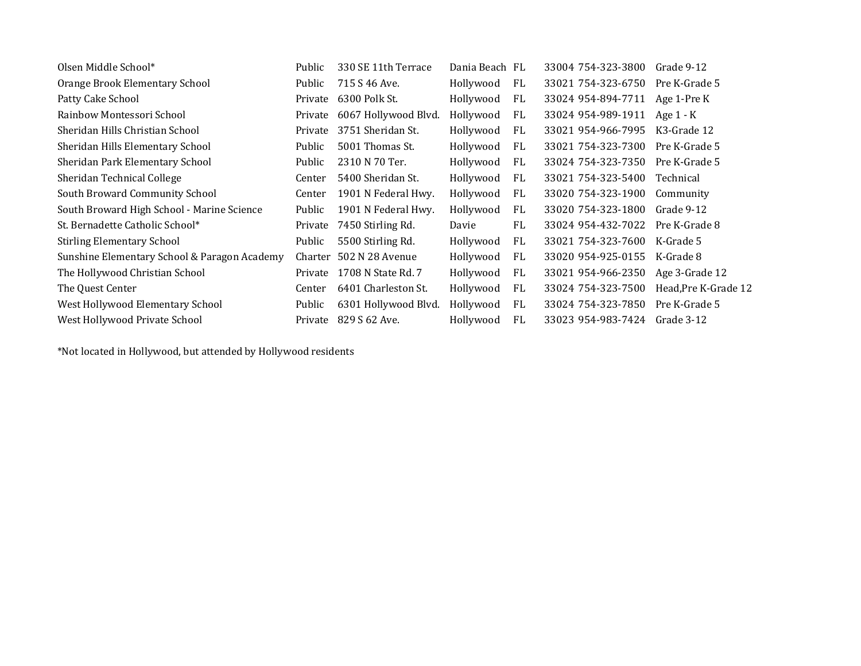| Olsen Middle School*                         | Public  | 330 SE 11th Terrace     | Dania Beach FL |    | 33004 754-323-3800 | Grade 9-12           |
|----------------------------------------------|---------|-------------------------|----------------|----|--------------------|----------------------|
| Orange Brook Elementary School               | Public  | 715 S 46 Ave.           | Hollywood      | FL | 33021 754-323-6750 | Pre K-Grade 5        |
| Patty Cake School                            | Private | 6300 Polk St.           | Hollywood      | FL | 33024 954-894-7711 | Age 1-Pre K          |
| Rainbow Montessori School                    | Private | 6067 Hollywood Blvd.    | Hollywood      | FL | 33024 954-989-1911 | Age 1 - K            |
| Sheridan Hills Christian School              | Private | 3751 Sheridan St.       | Hollywood      | FL | 33021 954-966-7995 | K3-Grade 12          |
| Sheridan Hills Elementary School             | Public  | 5001 Thomas St.         | Hollywood      | FL | 33021 754-323-7300 | Pre K-Grade 5        |
| Sheridan Park Elementary School              | Public  | 2310 N 70 Ter.          | Hollywood      | FL | 33024 754-323-7350 | Pre K-Grade 5        |
| Sheridan Technical College                   | Center  | 5400 Sheridan St.       | Hollywood      | FL | 33021 754-323-5400 | Technical            |
| South Broward Community School               | Center  | 1901 N Federal Hwy.     | Hollywood      | FL | 33020 754-323-1900 | Community            |
| South Broward High School - Marine Science   | Public  | 1901 N Federal Hwy.     | Hollywood      | FL | 33020 754-323-1800 | Grade 9-12           |
| St. Bernadette Catholic School*              | Private | 7450 Stirling Rd.       | Davie          | FL | 33024 954-432-7022 | Pre K-Grade 8        |
| <b>Stirling Elementary School</b>            | Public  | 5500 Stirling Rd.       | Hollywood      | FL | 33021 754-323-7600 | K-Grade 5            |
| Sunshine Elementary School & Paragon Academy |         | Charter 502 N 28 Avenue | Hollywood      | FL | 33020 954-925-0155 | K-Grade 8            |
| The Hollywood Christian School               | Private | 1708 N State Rd. 7      | Hollywood      | FL | 33021 954-966-2350 | Age 3-Grade 12       |
| The Quest Center                             | Center  | 6401 Charleston St.     | Hollywood      | FL | 33024 754-323-7500 | Head, Pre K-Grade 12 |
| West Hollywood Elementary School             | Public  | 6301 Hollywood Blyd.    | Hollywood      | FL | 33024 754-323-7850 | Pre K-Grade 5        |
| West Hollywood Private School                | Private | 829 S 62 Ave.           | Hollywood      | FL | 33023 954-983-7424 | Grade 3-12           |

\*Not located in Hollywood, but attended by Hollywood residents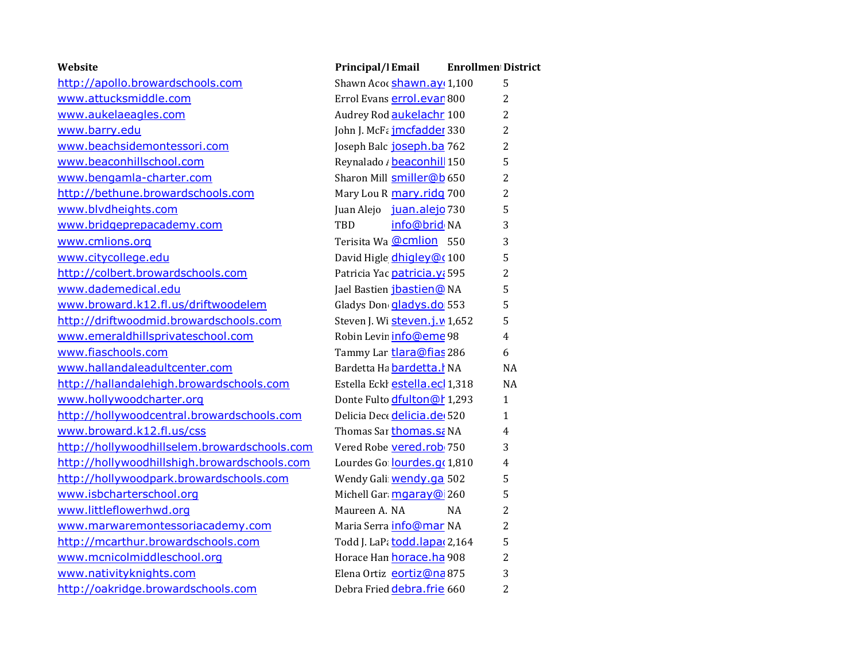| Website                                      | Principal/lEmail                             | <b>Enrollmen District</b> |
|----------------------------------------------|----------------------------------------------|---------------------------|
| http://apollo.browardschools.com             | Shawn Acoc shawn.ay 1,100                    | 5                         |
| www.attucksmiddle.com                        | Errol Evans errol.evan 800                   | $\overline{2}$            |
| www.aukelaeagles.com                         | Audrey Rod aukelachr 100                     | $\overline{2}$            |
| www.barry.edu                                | John J. McFz jmcfadder 330                   | $\overline{2}$            |
| www.beachsidemontessori.com                  | Joseph Balc joseph.ba 762                    | $\overline{2}$            |
| www.beaconhillschool.com                     | Reynalado / beaconhill 150                   | 5                         |
| www.bengamla-charter.com                     | Sharon Mill smiller@b 650                    | $\overline{2}$            |
| http://bethune.browardschools.com            | Mary Lou R mary.ridg 700                     | $\overline{c}$            |
| www.blvdheights.com                          | Juan Alejo juan.alejo 730                    | 5                         |
| www.bridgeprepacademy.com                    | info@brid NA<br>TBD                          | 3                         |
| www.cmlions.org                              | Terisita Wa @cmlion 550                      | 3                         |
| www.citycollege.edu                          | David Higle <i>dhigley@c</i> 100             | 5                         |
| http://colbert.browardschools.com            | Patricia Yac patricia. y 595                 | $\overline{c}$            |
| www.dademedical.edu                          | Jael Bastien jbastien@ NA                    | 5                         |
| www.broward.k12.fl.us/driftwoodelem          | Gladys Don gladys.do 553                     | 5                         |
| http://driftwoodmid.browardschools.com       | Steven J. Wisteven.j.v 1,652                 | 5                         |
| www.emeraldhillsprivateschool.com            | Robin Levin info@eme 98                      | $\overline{4}$            |
| www.fiaschools.com                           | Tammy Lar tlara@fias 286                     | 6                         |
| www.hallandaleadultcenter.com                | Bardetta Ha bardetta. <sup><i>t</i></sup> NA | <b>NA</b>                 |
| http://hallandalehigh.browardschools.com     | Estella Eckl estella.ec 1,318                | <b>NA</b>                 |
| www.hollywoodcharter.org                     | Donte Fulto dfulton@t 1,293                  | $\mathbf{1}$              |
| http://hollywoodcentral.browardschools.com   | Delicia Dece delicia.de 520                  | $\mathbf{1}$              |
| www.broward.k12.fl.us/css                    | Thomas Sar thomas.s. NA                      | 4                         |
| http://hollywoodhillselem.browardschools.com | Vered Robe vered.rob 750                     | 3                         |
| http://hollywoodhillshigh.browardschools.com | Lourdes Gollourdes.q(1,810                   | 4                         |
| http://hollywoodpark.browardschools.com      | Wendy Gali <b>wendy.ga</b> 502               | 5                         |
| www.isbcharterschool.org                     | Michell Gar: mgaray@ 260                     | 5                         |
| www.littleflowerhwd.org                      | Maureen A. NA<br><b>NA</b>                   | $\overline{c}$            |
| www.marwaremontessoriacademy.com             | Maria Serra info@mar NA                      | $\overline{2}$            |
| http://mcarthur.browardschools.com           | Todd J. LaP: todd.lapa(2,164                 | 5                         |
| www.mcnicolmiddleschool.org                  | Horace Han horace.ha 908                     | $\overline{2}$            |
| www.nativityknights.com                      | Elena Ortiz eortiz@na 875                    | 3                         |
| http://oakridge.browardschools.com           | Debra Fried debra.frie 660                   | $\overline{2}$            |